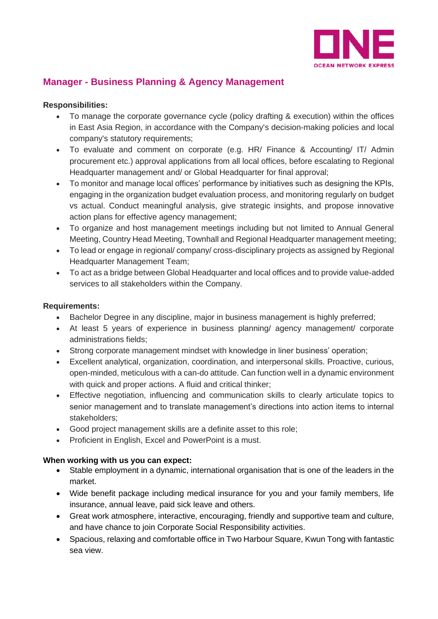

## **Manager - Business Planning & Agency Management**

## **Responsibilities:**

- To manage the corporate governance cycle (policy drafting & execution) within the offices in East Asia Region, in accordance with the Company's decision-making policies and local company's statutory requirements;
- To evaluate and comment on corporate (e.g. HR/ Finance & Accounting/ IT/ Admin procurement etc.) approval applications from all local offices, before escalating to Regional Headquarter management and/ or Global Headquarter for final approval;
- To monitor and manage local offices' performance by initiatives such as designing the KPIs, engaging in the organization budget evaluation process, and monitoring regularly on budget vs actual. Conduct meaningful analysis, give strategic insights, and propose innovative action plans for effective agency management;
- To organize and host management meetings including but not limited to Annual General Meeting, Country Head Meeting, Townhall and Regional Headquarter management meeting;
- To lead or engage in regional/ company/ cross-disciplinary projects as assigned by Regional Headquarter Management Team;
- To act as a bridge between Global Headquarter and local offices and to provide value-added services to all stakeholders within the Company.

## **Requirements:**

- Bachelor Degree in any discipline, major in business management is highly preferred;
- At least 5 years of experience in business planning/ agency management/ corporate administrations fields;
- Strong corporate management mindset with knowledge in liner business' operation;
- Excellent analytical, organization, coordination, and interpersonal skills. Proactive, curious, open-minded, meticulous with a can-do attitude. Can function well in a dynamic environment with quick and proper actions. A fluid and critical thinker:
- Effective negotiation, influencing and communication skills to clearly articulate topics to senior management and to translate management's directions into action items to internal stakeholders;
- Good project management skills are a definite asset to this role;
- Proficient in English, Excel and PowerPoint is a must.

## **When working with us you can expect:**

- Stable employment in a dynamic, international organisation that is one of the leaders in the market.
- Wide benefit package including medical insurance for you and your family members, life insurance, annual leave, paid sick leave and others.
- Great work atmosphere, interactive, encouraging, friendly and supportive team and culture, and have chance to join Corporate Social Responsibility activities.
- Spacious, relaxing and comfortable office in Two Harbour Square, Kwun Tong with fantastic sea view.